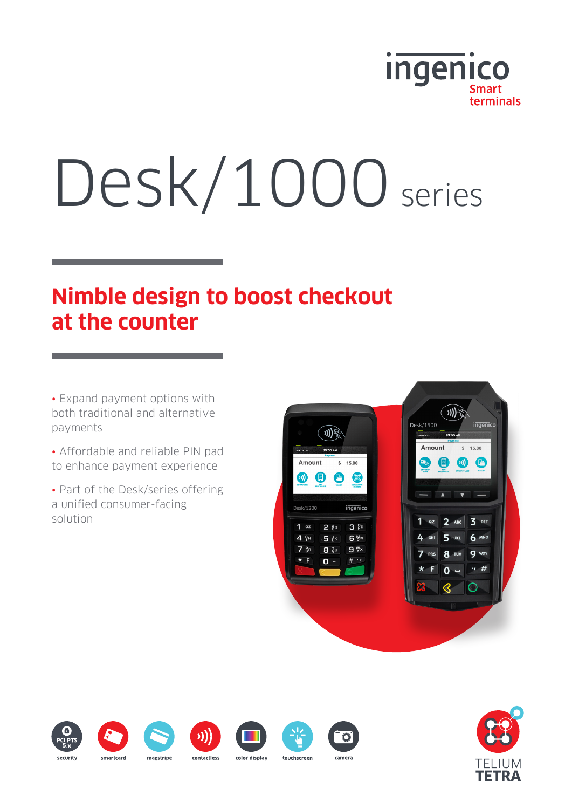

# Desk/1000 series

# **Nimble design to boost checkout at the counter**

• Expand payment options with both traditional and alternative payments

• Affordable and reliable PIN pad to enhance payment experience

• Part of the Desk/series offering a unified consumer-facing solution